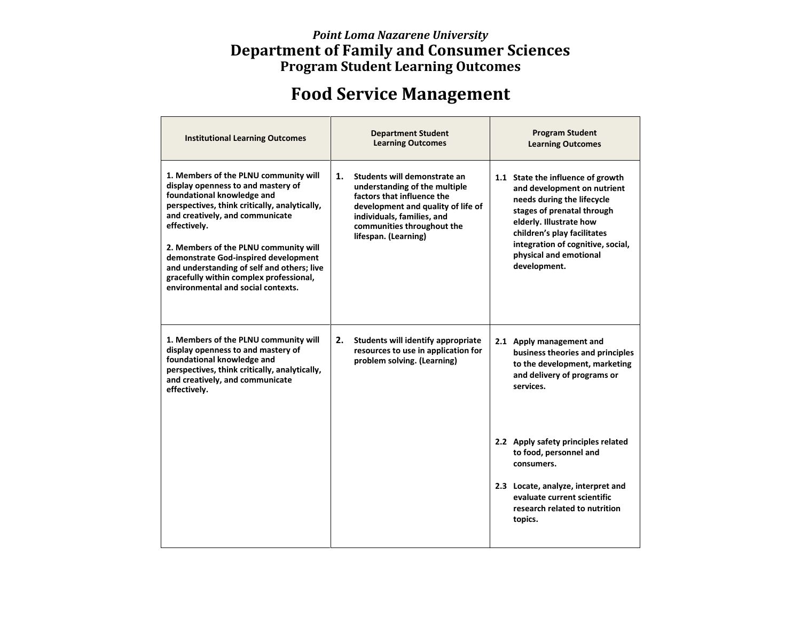## *Point Loma Nazarene University* **Department of Family and Consumer Sciences Program Student Learning Outcomes**

## **Food Service Management**

| <b>Institutional Learning Outcomes</b>                                                                                                                                                                                                                                                                                                                                                                                        | <b>Department Student</b><br><b>Learning Outcomes</b>                                                                                                                                                                       | <b>Program Student</b><br><b>Learning Outcomes</b>                                                                                                                                                                                                                    |
|-------------------------------------------------------------------------------------------------------------------------------------------------------------------------------------------------------------------------------------------------------------------------------------------------------------------------------------------------------------------------------------------------------------------------------|-----------------------------------------------------------------------------------------------------------------------------------------------------------------------------------------------------------------------------|-----------------------------------------------------------------------------------------------------------------------------------------------------------------------------------------------------------------------------------------------------------------------|
| 1. Members of the PLNU community will<br>display openness to and mastery of<br>foundational knowledge and<br>perspectives, think critically, analytically,<br>and creatively, and communicate<br>effectively.<br>2. Members of the PLNU community will<br>demonstrate God-inspired development<br>and understanding of self and others; live<br>gracefully within complex professional,<br>environmental and social contexts. | Students will demonstrate an<br>1.<br>understanding of the multiple<br>factors that influence the<br>development and quality of life of<br>individuals, families, and<br>communities throughout the<br>lifespan. (Learning) | 1.1 State the influence of growth<br>and development on nutrient<br>needs during the lifecycle<br>stages of prenatal through<br>elderly. Illustrate how<br>children's play facilitates<br>integration of cognitive, social,<br>physical and emotional<br>development. |
| 1. Members of the PLNU community will<br>display openness to and mastery of<br>foundational knowledge and<br>perspectives, think critically, analytically,<br>and creatively, and communicate<br>effectively.                                                                                                                                                                                                                 | 2.<br>Students will identify appropriate<br>resources to use in application for<br>problem solving. (Learning)                                                                                                              | 2.1 Apply management and<br>business theories and principles<br>to the development, marketing<br>and delivery of programs or<br>services.                                                                                                                             |
|                                                                                                                                                                                                                                                                                                                                                                                                                               |                                                                                                                                                                                                                             | 2.2 Apply safety principles related<br>to food, personnel and<br>consumers.                                                                                                                                                                                           |
|                                                                                                                                                                                                                                                                                                                                                                                                                               |                                                                                                                                                                                                                             | 2.3 Locate, analyze, interpret and<br>evaluate current scientific<br>research related to nutrition<br>topics.                                                                                                                                                         |